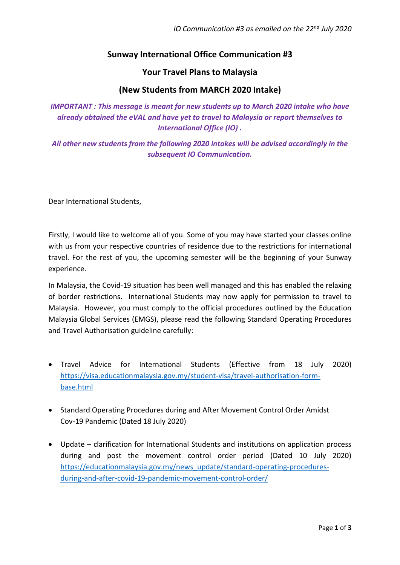# **Sunway International Office Communication #3**

### **Your Travel Plans to Malaysia**

## **(New Students from MARCH 2020 Intake)**

*IMPORTANT : This message is meant for new students up to March 2020 intake who have already obtained the eVAL and have yet to travel to Malaysia or report themselves to International Office (IO) .* 

*All other new students from the following 2020 intakes will be advised accordingly in the subsequent IO Communication.* 

Dear International Students,

Firstly, I would like to welcome all of you. Some of you may have started your classes online with us from your respective countries of residence due to the restrictions for international travel. For the rest of you, the upcoming semester will be the beginning of your Sunway experience.

In Malaysia, the Covid-19 situation has been well managed and this has enabled the relaxing of border restrictions. International Students may now apply for permission to travel to Malaysia. However, you must comply to the official procedures outlined by the Education Malaysia Global Services (EMGS), please read the following Standard Operating Procedures and Travel Authorisation guideline carefully:

- Travel Advice for International Students (Effective from 18 July 2020) [https://visa.educationmalaysia.gov.my/student-visa/travel-authorisation-form](https://visa.educationmalaysia.gov.my/student-visa/travel-authorisation-form-base.html)[base.html](https://visa.educationmalaysia.gov.my/student-visa/travel-authorisation-form-base.html)
- Standard Operating Procedures during and After Movement Control Order Amidst Cov-19 Pandemic (Dated 18 July 2020)
- Update clarification for International Students and institutions on application process during and post the movement control order period (Dated 10 July 2020) [https://educationmalaysia.gov.my/news\\_update/standard-operating-procedures](https://educationmalaysia.gov.my/news_update/standard-operating-procedures-during-and-after-covid-19-pandemic-movement-control-order/)[during-and-after-covid-19-pandemic-movement-control-order/](https://educationmalaysia.gov.my/news_update/standard-operating-procedures-during-and-after-covid-19-pandemic-movement-control-order/)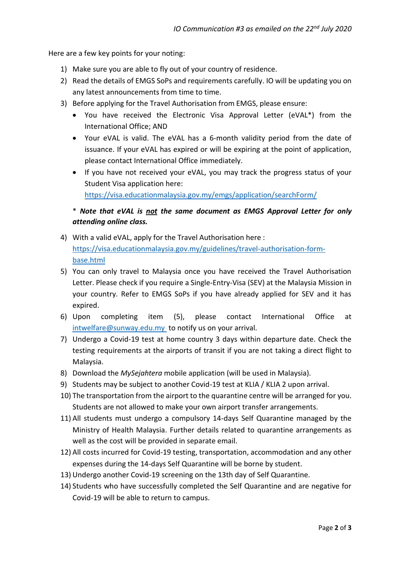Here are a few key points for your noting:

- 1) Make sure you are able to fly out of your country of residence.
- 2) Read the details of EMGS SoPs and requirements carefully. IO will be updating you on any latest announcements from time to time.
- 3) Before applying for the Travel Authorisation from EMGS, please ensure:
	- You have received the Electronic Visa Approval Letter (eVAL\*) from the International Office; AND
	- Your eVAL is valid. The eVAL has a 6-month validity period from the date of issuance. If your eVAL has expired or will be expiring at the point of application, please contact International Office immediately.
	- If you have not received your eVAL, you may track the progress status of your Student Visa application here: <https://visa.educationmalaysia.gov.my/emgs/application/searchForm/>

# \* *Note that eVAL is not the same document as EMGS Approval Letter for only attending online class.*

- 4) With a valid eVAL, apply for the Travel Authorisation here : [https://visa.educationmalaysia.gov.my/guidelines/travel-authorisation-form](https://visa.educationmalaysia.gov.my/guidelines/travel-authorisation-form-base.html)[base.html](https://visa.educationmalaysia.gov.my/guidelines/travel-authorisation-form-base.html)
- 5) You can only travel to Malaysia once you have received the Travel Authorisation Letter. Please check if you require a Single-Entry-Visa (SEV) at the Malaysia Mission in your country. Refer to EMGS SoPs if you have already applied for SEV and it has expired.
- 6) Upon completing item (5), please contact International Office at [intwelfare@sunway.edu.my](file:///C:/Users/angelynt/AppData/Local/Microsoft/Windows/INetCache/Content.Outlook/CIBJ7N5Q/intwelfare@sunway.edu.my) to notify us on your arrival.
- 7) Undergo a Covid-19 test at home country 3 days within departure date. Check the testing requirements at the airports of transit if you are not taking a direct flight to Malaysia.
- 8) Download the *MySejahtera* mobile application (will be used in Malaysia).
- 9) Students may be subject to another Covid-19 test at KLIA / KLIA 2 upon arrival.
- 10) The transportation from the airport to the quarantine centre will be arranged for you. Students are not allowed to make your own airport transfer arrangements.
- 11) All students must undergo a compulsory 14-days Self Quarantine managed by the Ministry of Health Malaysia. Further details related to quarantine arrangements as well as the cost will be provided in separate email.
- 12) All costs incurred for Covid-19 testing, transportation, accommodation and any other expenses during the 14-days Self Quarantine will be borne by student.
- 13) Undergo another Covid-19 screening on the 13th day of Self Quarantine.
- 14) Students who have successfully completed the Self Quarantine and are negative for Covid-19 will be able to return to campus.